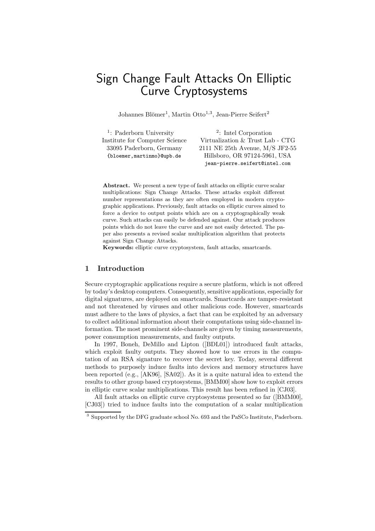# Sign Change Fault Attacks On Elliptic Curve Cryptosystems

Johannes Blömer<sup>1</sup>, Martin Otto<sup>1,3</sup>, Jean-Pierre Seifert<sup>2</sup>

| <sup>1</sup> : Paderborn University |
|-------------------------------------|
| Institute for Computer Science      |
| 33095 Paderborn, Germany            |
| {bloemer, martinmo}@upb.de          |
|                                     |

2 : Intel Corporation Virtualization  $\&$  Trust Lab - CTG  $2111$  NE 25th Avenue, M/S JF2-55 Hillsboro, OR 97124-5961, USA jean-pierre.seifert@intel.com

Abstract. We present a new type of fault attacks on elliptic curve scalar multiplications: Sign Change Attacks. These attacks exploit different number representations as they are often employed in modern cryptographic applications. Previously, fault attacks on elliptic curves aimed to force a device to output points which are on a cryptographically weak curve. Such attacks can easily be defended against. Our attack produces points which do not leave the curve and are not easily detected. The paper also presents a revised scalar multiplication algorithm that protects against Sign Change Attacks.

Keywords: elliptic curve cryptosystem, fault attacks, smartcards.

#### 1 Introduction

Secure cryptographic applications require a secure platform, which is not offered by today's desktop computers. Consequently, sensitive applications, especially for digital signatures, are deployed on smartcards. Smartcards are tamper-resistant and not threatened by viruses and other malicious code. However, smartcards must adhere to the laws of physics, a fact that can be exploited by an adversary to collect additional information about their computations using side-channel information. The most prominent side-channels are given by timing measurements, power consumption measurements, and faulty outputs.

In 1997, Boneh, DeMillo and Lipton ([BDL01]) introduced fault attacks, which exploit faulty outputs. They showed how to use errors in the computation of an RSA signature to recover the secret key. Today, several different methods to purposely induce faults into devices and memory structures have been reported (e.g., [AK96], [SA02]). As it is a quite natural idea to extend the results to other group based cryptosystems, [BMM00] show how to exploit errors in elliptic curve scalar multiplications. This result has been refined in [CJ03].

All fault attacks on elliptic curve cryptosystems presented so far ([BMM00], [CJ03]) tried to induce faults into the computation of a scalar multiplication

<sup>3</sup> Supported by the DFG graduate school No. 693 and the PaSCo Institute, Paderborn.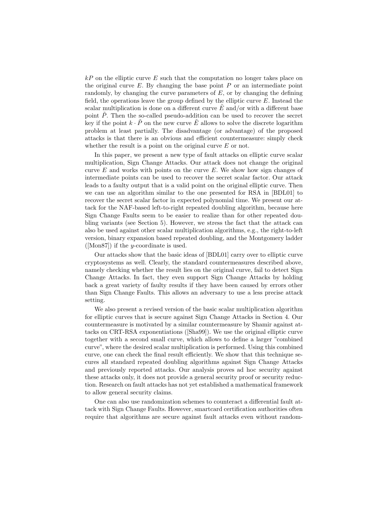$kP$  on the elliptic curve E such that the computation no longer takes place on the original curve  $E$ . By changing the base point  $P$  or an intermediate point randomly, by changing the curve parameters of  $E$ , or by changing the defining field, the operations leave the group defined by the elliptic curve  $E$ . Instead the scalar multiplication is done on a different curve  $\tilde{E}$  and/or with a different base point  $\tilde{P}$ . Then the so-called pseudo-addition can be used to recover the secret key if the point  $k \cdot \tilde{P}$  on the new curve  $\tilde{E}$  allows to solve the discrete logarithm problem at least partially. The disadvantage (or advantage) of the proposed attacks is that there is an obvious and efficient countermeasure: simply check whether the result is a point on the original curve  $E$  or not.

In this paper, we present a new type of fault attacks on elliptic curve scalar multiplication, Sign Change Attacks. Our attack does not change the original curve  $E$  and works with points on the curve  $E$ . We show how sign changes of intermediate points can be used to recover the secret scalar factor. Our attack leads to a faulty output that is a valid point on the original elliptic curve. Then we can use an algorithm similar to the one presented for RSA in [BDL01] to recover the secret scalar factor in expected polynomial time. We present our attack for the NAF-based left-to-right repeated doubling algorithm, because here Sign Change Faults seem to be easier to realize than for other repeated doubling variants (see Section 5). However, we stress the fact that the attack can also be used against other scalar multiplication algorithms, e.g., the right-to-left version, binary expansion based repeated doubling, and the Montgomery ladder ([Mon87]) if the *y*-coordinate is used.

Our attacks show that the basic ideas of [BDL01] carry over to elliptic curve cryptosystems as well. Clearly, the standard countermeasures described above, namely checking whether the result lies on the original curve, fail to detect Sign Change Attacks. In fact, they even support Sign Change Attacks by holding back a great variety of faulty results if they have been caused by errors other than Sign Change Faults. This allows an adversary to use a less precise attack setting.

We also present a revised version of the basic scalar multiplication algorithm for elliptic curves that is secure against Sign Change Attacks in Section 4. Our countermeasure is motivated by a similar countermeasure by Shamir against attacks on CRT-RSA exponentiations ([Sha99]). We use the original elliptic curve together with a second small curve, which allows to define a larger "combined curve", where the desired scalar multiplication is performed. Using this combined curve, one can check the final result efficiently. We show that this technique secures all standard repeated doubling algorithms against Sign Change Attacks and previously reported attacks. Our analysis proves ad hoc security against these attacks only, it does not provide a general security proof or security reduction. Research on fault attacks has not yet established a mathematical framework to allow general security claims.

One can also use randomization schemes to counteract a differential fault attack with Sign Change Faults. However, smartcard certification authorities often require that algorithms are secure against fault attacks even without random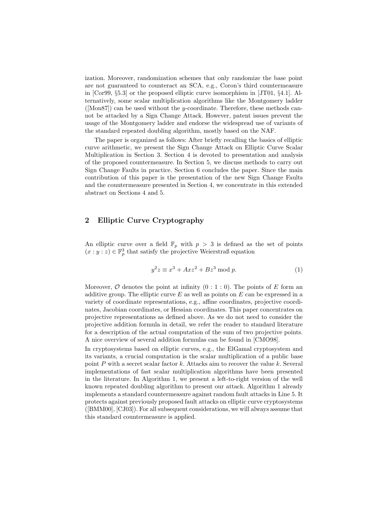ization. Moreover, randomization schemes that only randomize the base point are not guaranteed to counteract an SCA, e.g., Coron's third countermeasure in [Cor99, §5.3] or the proposed elliptic curve isomorphism in [JT01, §4.1]. Alternatively, some scalar multiplication algorithms like the Montgomery ladder ([Mon87]) can be used without the y-coordinate. Therefore, these methods cannot be attacked by a Sign Change Attack. However, patent issues prevent the usage of the Montgomery ladder and endorse the widespread use of variants of the standard repeated doubling algorithm, mostly based on the NAF.

The paper is organized as follows: After briefly recalling the basics of elliptic curve arithmetic, we present the Sign Change Attack on Elliptic Curve Scalar Multiplication in Section 3. Section 4 is devoted to presentation and analysis of the proposed countermeasure. In Section 5, we discuss methods to carry out Sign Change Faults in practice. Section 6 concludes the paper. Since the main contribution of this paper is the presentation of the new Sign Change Faults and the countermeasure presented in Section 4, we concentrate in this extended abstract on Sections 4 and 5.

### 2 Elliptic Curve Cryptography

An elliptic curve over a field  $\mathbb{F}_p$  with  $p > 3$  is defined as the set of points  $(x:y:z) \in \mathbb{F}_p^3$  that satisfy the projective Weierstraß equation

$$
y^2 z \equiv x^3 + A x z^2 + B z^3 \bmod p. \tag{1}
$$

Moreover,  $\mathcal O$  denotes the point at infinity  $(0:1:0)$ . The points of E form an additive group. The elliptic curve  $E$  as well as points on  $E$  can be expressed in a variety of coordinate representations, e.g., affine coordinates, projective coordinates, Jacobian coordinates, or Hessian coordinates. This paper concentrates on projective representations as defined above. As we do not need to consider the projective addition formula in detail, we refer the reader to standard literature for a description of the actual computation of the sum of two projective points. A nice overview of several addition formulas can be found in [CMO98].

In cryptosystems based on elliptic curves, e.g., the ElGamal cryptosystem and its variants, a crucial computation is the scalar multiplication of a public base point P with a secret scalar factor k. Attacks aim to recover the value k. Several implementations of fast scalar multiplication algorithms have been presented in the literature. In Algorithm 1, we present a left-to-right version of the well known repeated doubling algorithm to present our attack. Algorithm 1 already implements a standard countermeasure against random fault attacks in Line 5. It protects against previously proposed fault attacks on elliptic curve cryptosystems ([BMM00], [CJ03]). For all subsequent considerations, we will always assume that this standard countermeasure is applied.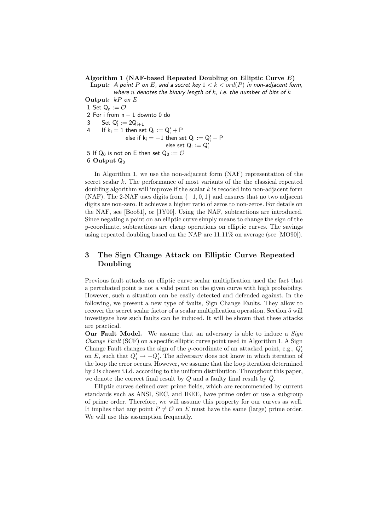Algorithm 1 (NAF-based Repeated Doubling on Elliptic Curve  $E$ ) **Input:** A point P on E, and a secret key  $1 < k < ord(P)$  in non-adjacent form, where n denotes the binary length of  $k$ , i.e. the number of bits of  $k$ Output:  $kP$  on  $E$ 1 Set  $Q_n := \mathcal{O}$ 2 For i from n − 1 downto 0 do 3 Set  $Q'_i := 2Q_{i+1}$ 3 Set  $Q_i := 2Q_{i+1}$ <br>4 If  $k_i = 1$  then set  $Q_i := Q'_i + P$ else if  $k_i = -1$  then set  $Q_i := Q'_i - P$  $e$ lse set  $Q_i := Q_i'$ 5 If  $Q_0$  is not on E then set  $Q_0 := \mathcal{O}$ 6 Output  $Q_0$ 

In Algorithm 1, we use the non-adjacent form (NAF) representation of the secret scalar k. The performance of most variants of the the classical repeated doubling algorithm will improve if the scalar  $k$  is recoded into non-adjacent form (NAF). The 2-NAF uses digits from  $\{-1, 0, 1\}$  and ensures that no two adjacent digits are non-zero. It achieves a higher ratio of zeros to non-zeros. For details on the NAF, see [Boo51], or [JY00]. Using the NAF, subtractions are introduced. Since negating a point on an elliptic curve simply means to change the sign of the y-coordinate, subtractions are cheap operations on elliptic curves. The savings using repeated doubling based on the NAF are 11.11% on average (see [MO90]).

# 3 The Sign Change Attack on Elliptic Curve Repeated Doubling

Previous fault attacks on elliptic curve scalar multiplication used the fact that a pertubated point is not a valid point on the given curve with high probability. However, such a situation can be easily detected and defended against. In the following, we present a new type of faults, Sign Change Faults. They allow to recover the secret scalar factor of a scalar multiplication operation. Section 5 will investigate how such faults can be induced. It will be shown that these attacks are practical.

Our Fault Model. We assume that an adversary is able to induce a Sign Change Fault (SCF) on a specific elliptic curve point used in Algorithm 1. A Sign Change Fault changes the sign of the y-coordinate of an attacked point, e.g.,  $\check{Q}'_i$ on E, such that  $Q_i' \mapsto -Q_i'$ . The adversary does not know in which iteration of the loop the error occurs. However, we assume that the loop iteration determined by  $i$  is chosen i.i.d. according to the uniform distribution. Throughout this paper, we denote the correct final result by Q and a faulty final result by  $\tilde{Q}$ .

Elliptic curves defined over prime fields, which are recommended by current standards such as ANSI, SEC, and IEEE, have prime order or use a subgroup of prime order. Therefore, we will assume this property for our curves as well. It implies that any point  $P \neq \mathcal{O}$  on E must have the same (large) prime order. We will use this assumption frequently.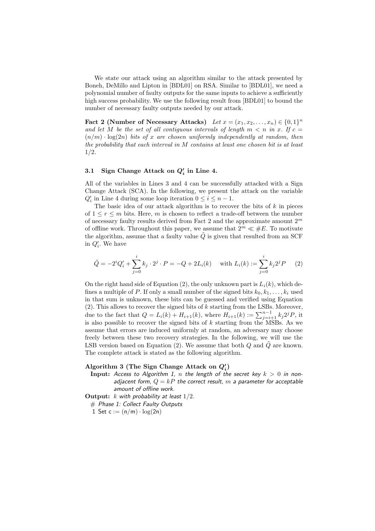We state our attack using an algorithm similar to the attack presented by Boneh, DeMillo and Lipton in [BDL01] on RSA. Similar to [BDL01], we need a polynomial number of faulty outputs for the same inputs to achieve a sufficiently high success probability. We use the following result from [BDL01] to bound the number of necessary faulty outputs needed by our attack.

Fact 2 (Number of Necessary Attacks) Let  $x = (x_1, x_2, \ldots, x_n) \in \{0, 1\}^n$ and let M be the set of all contiguous intervals of length  $m < n$  in x. If  $c =$  $(n/m)$  · log(2n) bits of x are chosen uniformly independently at random, then the probability that each interval in M contains at least one chosen bit is at least 1/2.

# 3.1 Sign Change Attack on  $Q_i'$  in Line 4.

All of the variables in Lines 3 and 4 can be successfully attacked with a Sign Change Attack (SCA). In the following, we present the attack on the variable  $Q'_i$  in Line 4 during some loop iteration  $0 \leq i \leq n-1$ .

The basic idea of our attack algorithm is to recover the bits of  $k$  in pieces of  $1 \leq r \leq m$  bits. Here, m is chosen to reflect a trade-off between the number of necessary faulty results derived from Fact 2 and the approximate amount  $2^m$ of offline work. Throughout this paper, we assume that  $2^m \ll \#E$ . To motivate the algorithm, assume that a faulty value  $\tilde{Q}$  is given that resulted from an SCF in  $Q'_i$ . We have

$$
\tilde{Q} = -2^i Q'_i + \sum_{j=0}^i k_j \cdot 2^j \cdot P = -Q + 2L_i(k) \quad \text{with } L_i(k) := \sum_{j=0}^i k_j 2^j P \qquad (2)
$$

On the right hand side of Equation (2), the only unknown part is  $L<sub>i</sub>(k)$ , which defines a multiple of P. If only a small number of the signed bits  $k_0, k_1, \ldots, k_i$  used in that sum is unknown, these bits can be guessed and verified using Equation  $(2)$ . This allows to recover the signed bits of k starting from the LSBs. Moreover, due to the fact that  $Q = L_i(k) + H_{i+1}(k)$ , where  $H_{i+1}(k) := \sum_{j=i+1}^{n-1} k_j 2^j P$ , it is also possible to recover the signed bits of  $k$  starting from the MSBs. As we assume that errors are induced uniformly at random, an adversary may choose freely between these two recovery strategies. In the following, we will use the LSB version based on Equation (2). We assume that both  $Q$  and  $\tilde{Q}$  are known. The complete attack is stated as the following algorithm.

# Algorithm 3 (The Sign Change Attack on  $Q_i'$ )

Input: Access to Algorithm 1, n the length of the secret key  $k > 0$  in nonadjacent form,  $Q = kP$  the correct result, m a parameter for acceptable amount of offline work.

Output:  $k$  with probability at least  $1/2$ .

# Phase 1: Collect Faulty Outputs

1 Set  $c := (n/m) \cdot log(2n)$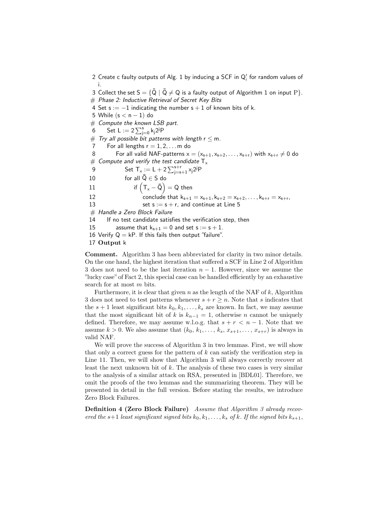2 Create c faulty outputs of Alg. 1 by inducing a SCF in  $\mathsf{Q}'_{\mathsf{i}}$  for random values of i. 3 Collect the set  $S = \{ \tilde{Q} \mid \tilde{Q} \neq Q \}$  is a faulty output of Algorithm 1 on input P}. # Phase 2: Inductive Retrieval of Secret Key Bits 4 Set s :=  $-1$  indicating the number s + 1 of known bits of k. 5 While  $(s < n - 1)$  do # Compute the known LSB part. 6 Set L :=  $2 \sum_{j=0}^{s} k_j 2^{j} P$ # Try all possible bit patterns with length  $r < m$ . 7 For all lengths  $r = 1, 2, \ldots$  m do 8 For all valid NAF-patterns  $x = (x_{s+1}, x_{s+2}, \ldots, x_{s+r})$  with  $x_{s+r} \neq 0$  do  $#$  Compute and verify the test candidate  $T_x$ 9 Set  $T_x := L + 2 \sum_{j=s+1}^{s+r} x_j 2^j P$ 10 for all  $\tilde{Q} \in S$  do 11 if  $\left(T_\times - \tilde{\mathsf{Q}}\right) = \mathsf{Q}$  then 12 conclude that  $k_{s+1} = x_{s+1}, k_{s+2} = x_{s+2}, \ldots, k_{s+r} = x_{s+r}$ , 13 set  $s := s + r$ , and continue at Line 5 # Handle a Zero Block Failure 14 If no test candidate satisfies the verification step, then 15 assume that  $k_{s+1} = 0$  and set  $s := s + 1$ . 16 Verify  $Q = kP$ . If this fails then output "failure". 17 Output k

Comment. Algorithm 3 has been abbreviated for clarity in two minor details. On the one hand, the highest iteration that suffered a SCF in Line 2 of Algorithm 3 does not need to be the last iteration  $n-1$ . However, since we assume the "lucky case"of Fact 2, this special case can be handled efficiently by an exhaustive search for at most m bits.

Furthermore, it is clear that given n as the length of the NAF of  $k$ , Algorithm 3 does not need to test patterns whenever  $s + r \geq n$ . Note that s indicates that the  $s + 1$  least significant bits  $k_0, k_1, \ldots, k_s$  are known. In fact, we may assume that the most significant bit of k is  $k_{n-1} = 1$ , otherwise n cannot be uniquely defined. Therefore, we may assume w.l.o.g. that  $s + r < n - 1$ . Note that we assume  $k > 0$ . We also assume that  $(k_0, k_1, \ldots, k_s, x_{s+1}, \ldots, x_{s+r})$  is always in valid NAF.

We will prove the success of Algorithm 3 in two lemmas. First, we will show that only a correct guess for the pattern of  $k$  can satisfy the verification step in Line 11. Then, we will show that Algorithm 3 will always correctly recover at least the next unknown bit of  $k$ . The analysis of these two cases is very similar to the analysis of a similar attack on RSA, presented in [BDL01]. Therefore, we omit the proofs of the two lemmas and the summarizing theorem. They will be presented in detail in the full version. Before stating the results, we introduce Zero Block Failures.

Definition 4 (Zero Block Failure) Assume that Algorithm 3 already recovered the s+1 least significant signed bits  $k_0, k_1, \ldots, k_s$  of k. If the signed bits  $k_{s+1}$ ,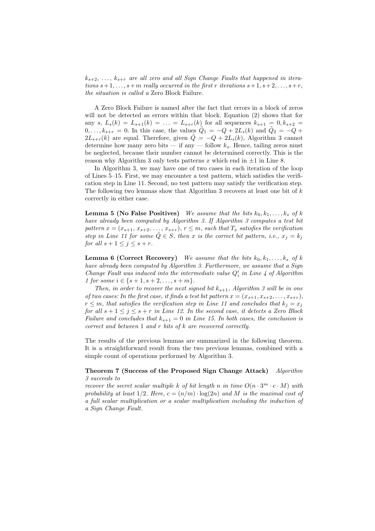$k_{s+2}, \ldots, k_{s+r}$  are all zero and all Sign Change Faults that happened in iterations  $s+1, \ldots, s+m$  really occurred in the first r iterations  $s+1, s+2, \ldots, s+r$ , the situation is called a Zero Block Failure.

A Zero Block Failure is named after the fact that errors in a block of zeros will not be detected as errors within that block. Equation (2) shows that for any s,  $L_s(k) = L_{s+1}(k) = \ldots = L_{s+r}(k)$  for all sequences  $k_{s+1} = 0, k_{s+2} =$  $0, \ldots, k_{s+r} = 0$ . In this case, the values  $\tilde{Q}_1 = -Q + 2L_s(k)$  and  $\tilde{Q}_2 = -Q + 1$  $2L_{s+r}(k)$  are equal. Therefore, given  $\tilde{Q} = -Q + 2L_s(k)$ , Algorithm 3 cannot determine how many zero bits — if any — follow  $k_s$ . Hence, tailing zeros must be neglected, because their number cannot be determined correctly. This is the reason why Algorithm 3 only tests patterns x which end in  $\pm 1$  in Line 8.

In Algorithm 3, we may have one of two cases in each iteration of the loop of Lines 5–15. First, we may encounter a test pattern, which satisfies the verification step in Line 11. Second, no test pattern may satisfy the verification step. The following two lemmas show that Algorithm 3 recovers at least one bit of  $k$ correctly in either case.

**Lemma 5 (No False Positives)** We assume that the bits  $k_0, k_1, \ldots, k_s$  of k have already been computed by Algorithm 3. If Algorithm 3 computes a test bit pattern  $x = (x_{s+1}, x_{s+2}, \ldots, x_{s+r}), r \leq m$ , such that  $T_x$  satisfies the verification step in Line 11 for some  $\tilde{Q} \in S$ , then x is the correct bit pattern, i.e.,  $x_j = k_j$ for all  $s + 1 \leq j \leq s + r$ .

**Lemma 6 (Correct Recovery)** We assume that the bits  $k_0, k_1, \ldots, k_s$  of k have already been computed by Algorithm 3. Furthermore, we assume that a Sign Change Fault was induced into the intermediate value  $Q'_{i}$  in Line 4 of Algorithm 1 for some  $i \in \{s+1, s+2, \ldots, s+m\}$ .

Then, in order to recover the next signed bit  $k_{s+1}$ , Algorithm 3 will be in one of two cases: In the first case, it finds a test bit pattern  $x = (x_{s+1}, x_{s+2}, \ldots, x_{s+r}),$  $r \leq m$ , that satisfies the verification step in Line 11 and concludes that  $k_j = x_j$ for all  $s + 1 \leq j \leq s + r$  in Line 12. In the second case, it detects a Zero Block Failure and concludes that  $k_{s+1} = 0$  in Line 15. In both cases, the conclusion is correct and between 1 and r bits of k are recovered correctly.

The results of the previous lemmas are summarized in the following theorem. It is a straightforward result from the two previous lemmas, combined with a simple count of operations performed by Algorithm 3.

#### Theorem 7 (Success of the Proposed Sign Change Attack) Algorithm 3 succeeds to

recover the secret scalar multiple k of bit length n in time  $O(n \cdot 3^m \cdot c \cdot M)$  with probability at least  $1/2$ . Here,  $c = (n/m) \cdot \log(2n)$  and M is the maximal cost of a full scalar multiplication or a scalar multiplication including the induction of a Sign Change Fault.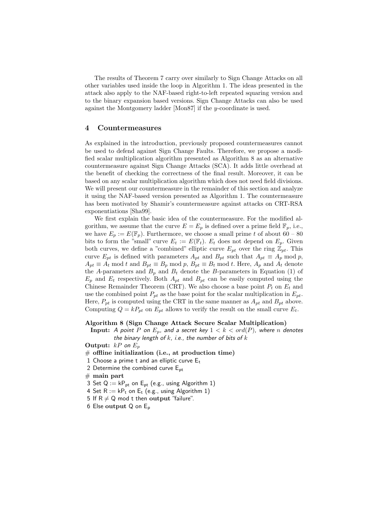The results of Theorem 7 carry over similarly to Sign Change Attacks on all other variables used inside the loop in Algorithm 1. The ideas presented in the attack also apply to the NAF-based right-to-left repeated squaring version and to the binary expansion based versions. Sign Change Attacks can also be used against the Montgomery ladder [Mon87] if the y-coordinate is used.

#### 4 Countermeasures

As explained in the introduction, previously proposed countermeasures cannot be used to defend against Sign Change Faults. Therefore, we propose a modified scalar multiplication algorithm presented as Algorithm 8 as an alternative countermeasure against Sign Change Attacks (SCA). It adds little overhead at the benefit of checking the correctness of the final result. Moreover, it can be based on any scalar multiplication algorithm which does not need field divisions. We will present our countermeasure in the remainder of this section and analyze it using the NAF-based version presented as Algorithm 1. The countermeasure has been motivated by Shamir's countermeasure against attacks on CRT-RSA exponentiations [Sha99].

We first explain the basic idea of the countermeasure. For the modified algorithm, we assume that the curve  $E = E_p$  is defined over a prime field  $\mathbb{F}_p$ , i.e., we have  $E_p := E(\mathbb{F}_p)$ . Furthermore, we choose a small prime t of about 60 – 80 bits to form the "small" curve  $E_t := E(\mathbb{F}_t)$ .  $E_t$  does not depend on  $E_p$ . Given both curves, we define a "combined" elliptic curve  $E_{pt}$  over the ring  $\mathbb{Z}_{pt}$ . This curve  $E_{pt}$  is defined with parameters  $A_{pt}$  and  $B_{pt}$  such that  $A_{pt} \equiv A_p \mod p$ ,  $A_{pt} \equiv A_t \mod t$  and  $B_{pt} \equiv B_p \mod p$ ,  $B_{pt} \equiv B_t \mod t$ . Here,  $A_p$  and  $A_t$  denote the A-parameters and  $B_p$  and  $B_t$  denote the B-parameters in Equation (1) of  $E_p$  and  $E_t$  respectively. Both  $A_{pt}$  and  $B_{pt}$  can be easily computed using the Chinese Remainder Theorem (CRT). We also choose a base point  $P_t$  on  $E_t$  and use the combined point  $P_{pt}$  as the base point for the scalar multiplication in  $E_{pt}$ . Here,  $P_{pt}$  is computed using the CRT in the same manner as  $A_{pt}$  and  $B_{pt}$  above. Computing  $Q = kP_{pt}$  on  $E_{pt}$  allows to verify the result on the small curve  $E_t$ .

#### Algorithm 8 (Sign Change Attack Secure Scalar Multiplication)

**Input:** A point P on  $E_p$ , and a secret key  $1 < k < ord(P)$ , where n denotes the binary length of  $k$ , i.e., the number of bits of  $k$ 

**Output:**  $kP$  on  $E_p$ 

- $#$  offline initialization (i.e., at production time)
- 1 Choose a prime t and an elliptic curve  $E_t$
- 2 Determine the combined curve  $E_{pt}$
- $#$  main part
- 3 Set  $Q := kP_{pt}$  on  $E_{pt}$  (e.g., using Algorithm 1)
- 4 Set  $R := kP_t$  on  $E_t$  (e.g., using Algorithm 1)
- 5 If  $R \neq Q$  mod t then output "failure".
- 6 Else output Q on E<sup>p</sup>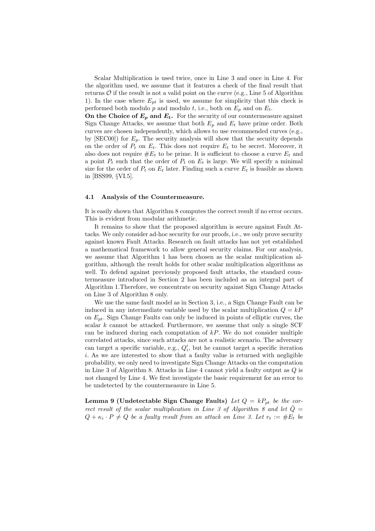Scalar Multiplication is used twice, once in Line 3 and once in Line 4. For the algorithm used, we assume that it features a check of the final result that returns  $\mathcal O$  if the result is not a valid point on the curve (e.g., Line 5 of Algorithm 1). In the case where  $E_{pt}$  is used, we assume for simplicity that this check is performed both modulo p and modulo t, i.e., both on  $E_p$  and on  $E_t$ .

On the Choice of  $E_p$  and  $E_t$ . For the security of our countermeasure against Sign Change Attacks, we assume that both  $E_p$  and  $E_t$  have prime order. Both curves are chosen independently, which allows to use recommended curves (e.g., by  $[SECO0]$  for  $E_p$ . The security analysis will show that the security depends on the order of  $P_t$  on  $E_t$ . This does not require  $E_t$  to be secret. Moreover, it also does not require  $#E_t$  to be prime. It is sufficient to choose a curve  $E_t$  and a point  $P_t$  such that the order of  $P_t$  on  $E_t$  is large. We will specify a minimal size for the order of  $P_t$  on  $E_t$  later. Finding such a curve  $E_t$  is feasible as shown in [BSS99, §VI.5].

#### 4.1 Analysis of the Countermeasure.

It is easily shown that Algorithm 8 computes the correct result if no error occurs. This is evident from modular arithmetic.

It remains to show that the proposed algorithm is secure against Fault Attacks. We only consider ad-hoc security for our proofs, i.e., we only prove security against known Fault Attacks. Research on fault attacks has not yet established a mathematical framework to allow general security claims. For our analysis, we assume that Algorithm 1 has been chosen as the scalar multiplication algorithm, although the result holds for other scalar multiplication algorithms as well. To defend against previously proposed fault attacks, the standard countermeasure introduced in Section 2 has been included as an integral part of Algorithm 1.Therefore, we concentrate on security against Sign Change Attacks on Line 3 of Algorithm 8 only.

We use the same fault model as in Section 3, i.e., a Sign Change Fault can be induced in any intermediate variable used by the scalar multiplication  $Q = kP$ on  $E_{pt}$ . Sign Change Faults can only be induced in points of elliptic curves, the scalar  $k$  cannot be attacked. Furthermore, we assume that only a single SCF can be induced during each computation of  $kP$ . We do not consider multiple correlated attacks, since such attacks are not a realistic scenario. The adversary can target a specific variable, e.g.,  $Q_i'$ , but he cannot target a specific iteration  $i.$  As we are interested to show that a faulty value is returned with negligible probability, we only need to investigate Sign Change Attacks on the computation in Line 3 of Algorithm 8. Attacks in Line 4 cannot yield a faulty output as Q is not changed by Line 4. We first investigate the basic requirement for an error to be undetected by the countermeasure in Line 5.

**Lemma 9 (Undetectable Sign Change Faults)** Let  $Q = kP_{pt}$  be the correct result of the scalar multiplication in Line 3 of Algorithm 8 and let  $Q =$  $Q + \kappa_i \cdot P \neq Q$  be a faulty result from an attack on Line 3. Let  $r_t := \#E_t$  be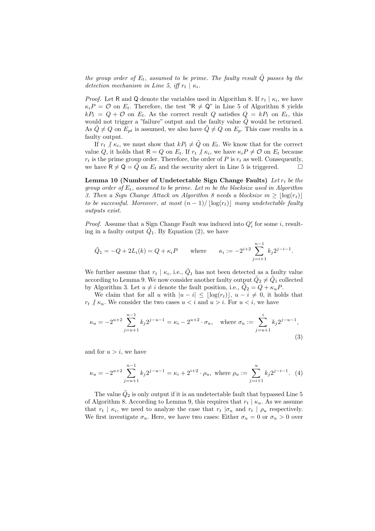the group order of  $E_t$ , assumed to be prime. The faulty result  $\tilde{Q}$  passes by the detection mechanism in Line 5, iff  $r_t | \kappa_i$ .

*Proof.* Let R and Q denote the variables used in Algorithm 8. If  $r_t | \kappa_i$ , we have  $\kappa_i P = \mathcal{O}$  on  $E_t$ . Therefore, the test "R  $\neq Q$ " in Line 5 of Algorithm 8 yields  $kP_t = Q + \mathcal{O}$  on  $E_t$ . As the correct result Q satisfies  $Q = kP_t$  on  $E_t$ , this would not trigger a "failure" output and the faulty value  $\tilde{Q}$  would be returned. As  $\tilde{Q} \neq Q$  on  $E_{pt}$  is assumed, we also have  $\tilde{Q} \neq Q$  on  $E_p$ . This case results in a faulty output.

If  $r_t \nmid \kappa_i$ , we must show that  $kP_t \neq \tilde{Q}$  on  $E_t$ . We know that for the correct value Q, it holds that  $\mathsf{R} = Q$  on  $E_t$ . If  $r_t \nmid \kappa_i$ , we have  $\kappa_i P \neq \mathcal{O}$  on  $E_t$  because  $r_t$  is the prime group order. Therefore, the order of P is  $r_t$  as well. Consequently, we have  $\mathsf{R} \neq \mathsf{Q} = \tilde{Q}$  on  $E_t$  and the security alert in Line 5 is triggered.

Lemma 10 (Number of Undetectable Sign Change Faults) Let  $r_t$  be the group order of  $E_t$ , assumed to be prime. Let m be the blocksize used in Algorithm 3. Then a Sign Change Attack on Algorithm 8 needs a blocksize  $m \geq |\log(r_t)|$ to be successful. Moreover, at most  $(n-1)/|\log(r_t)|$  many undetectable faulty outputs exist.

*Proof.* Assume that a Sign Change Fault was induced into  $Q_i'$  for some i, resulting in a faulty output  $\tilde{Q}_1$ . By Equation (2), we have

$$
\tilde{Q}_1 = -Q + 2L_i(k) = Q + \kappa_i P
$$
 where  $\kappa_i := -2^{i+2} \sum_{j=i+1}^{n-1} k_j 2^{j-i-1}.$ 

We further assume that  $r_t | \kappa_i$ , i.e.,  $\tilde{Q}_1$  has not been detected as a faulty value according to Lemma 9. We now consider another faulty output  $\tilde{Q}_2 \neq \tilde{Q}_1$  collected by Algorithm 3. Let  $u \neq i$  denote the fault position, i.e.,  $\tilde{Q}_2 = Q + \kappa_u P$ .

We claim that for all u with  $|u - i| \leq |\log(r_t)|$ ,  $u - i \neq 0$ , it holds that  $r_t \nmid \kappa_u$ . We consider the two cases  $u < i$  and  $u > i$ . For  $u < i$ , we have

$$
\kappa_u = -2^{u+2} \sum_{j=u+1}^{n-1} k_j 2^{j-u-1} = \kappa_i - 2^{u+2} \cdot \sigma_u, \quad \text{where } \sigma_u := \sum_{j=u+1}^i k_j 2^{j-u-1},
$$
\n(3)

and for  $u > i$ , we have

$$
\kappa_u = -2^{u+2} \sum_{j=u+1}^{n-1} k_j 2^{j-u-1} = \kappa_i + 2^{i+2} \cdot \rho_u, \text{ where } \rho_u := \sum_{j=i+1}^u k_j 2^{j-i-1}. \tag{4}
$$

The value  $\tilde{Q}_2$  is only output if it is an undetectable fault that bypassed Line 5 of Algorithm 8. According to Lemma 9, this requires that  $r_t | \kappa_u$ . As we assume that  $r_t | \kappa_i$ , we need to analyze the case that  $r_t | \sigma_u$  and  $r_t | \rho_u$  respectively. We first investigate  $\sigma_u$ . Here, we have two cases: Either  $\sigma_u = 0$  or  $\sigma_u > 0$  over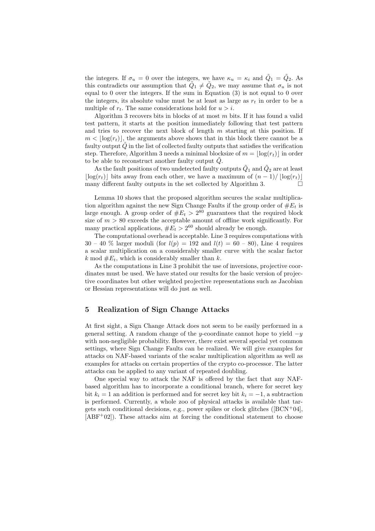the integers. If  $\sigma_u = 0$  over the integers, we have  $\kappa_u = \kappa_i$  and  $\tilde{Q}_1 = \tilde{Q}_2$ . As this contradicts our assumption that  $\tilde{Q}_1 \neq \tilde{Q}_2$ , we may assume that  $\sigma_u$  is not equal to 0 over the integers. If the sum in Equation (3) is not equal to 0 over the integers, its absolute value must be at least as large as  $r_t$  in order to be a multiple of  $r_t$ . The same considerations hold for  $u > i$ .

Algorithm 3 recovers bits in blocks of at most  $m$  bits. If it has found a valid test pattern, it starts at the position immediately following that test pattern and tries to recover the next block of length  $m$  starting at this position. If  $m < \lfloor \log(r_t) \rfloor$ , the arguments above shows that in this block there cannot be a faulty output  $\tilde{Q}$  in the list of collected faulty outputs that satisfies the verification step. Therefore, Algorithm 3 needs a minimal blocksize of  $m = |\log(r_t)|$  in order to be able to reconstruct another faulty output  $Q$ .

As the fault positions of two undetected faulty outputs  $\tilde{Q}_1$  and  $\tilde{Q}_2$  are at least  $|\log(r_t)|$  bits away from each other, we have a maximum of  $(n - 1)/ |\log(r_t)|$ many different faulty outputs in the set collected by Algorithm 3.  $\Box$ 

Lemma 10 shows that the proposed algorithm secures the scalar multiplication algorithm against the new Sign Change Faults if the group order of  $#E_t$  is large enough. A group order of  $#E_t > 2^{80}$  guarantees that the required block size of  $m > 80$  exceeds the acceptable amount of offline work significantly. For many practical applications,  $#E_t > 2^{60}$  should already be enough.

The computational overhead is acceptable. Line 3 requires computations with 30 – 40 % larger moduli (for  $l(p) = 192$  and  $l(t) = 60 - 80$ ), Line 4 requires a scalar multiplication on a considerably smaller curve with the scalar factor k mod  $#E_t$ , which is considerably smaller than k.

As the computations in Line 3 prohibit the use of inversions, projective coordinates must be used. We have stated our results for the basic version of projective coordinates but other weighted projective representations such as Jacobian or Hessian representations will do just as well.

#### 5 Realization of Sign Change Attacks

At first sight, a Sign Change Attack does not seem to be easily performed in a general setting. A random change of the y-coordinate cannot hope to yield  $-y$ with non-negligible probability. However, there exist several special yet common settings, where Sign Change Faults can be realized. We will give examples for attacks on NAF-based variants of the scalar multiplication algorithm as well as examples for attacks on certain properties of the crypto co-processor. The latter attacks can be applied to any variant of repeated doubling.

One special way to attack the NAF is offered by the fact that any NAFbased algorithm has to incorporate a conditional branch, where for secret key bit  $k_i = 1$  an addition is performed and for secret key bit  $k_i = -1$ , a subtraction is performed. Currently, a whole zoo of physical attacks is available that targets such conditional decisions, e.g., power spikes or clock glitches ([BCN<sup>+</sup>04],  $[ABF+02]$ . These attacks aim at forcing the conditional statement to choose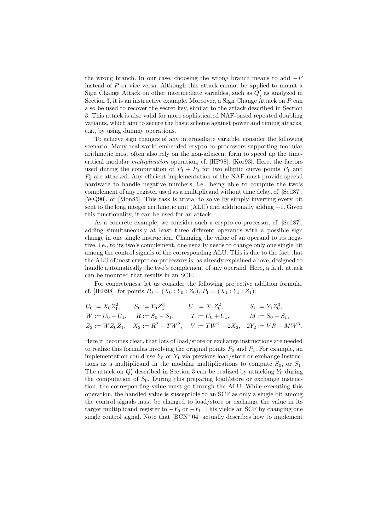the wrong branch. In our case, choosing the wrong branch means to add  $-P$ instead of P or vice versa. Although this attack cannot be applied to mount a Sign Change Attack on other intermediate variables, such as  $Q'_{i}$  as analyzed in Section 3, it is an instructive example. Moreover, a Sign Change Attack on P can also be used to recover the secret key, similar to the attack described in Section 3. This attack is also valid for more sophisticated NAF-based repeated doubling variants, which aim to secure the basic scheme against power and timing attacks, e.g., by using dummy operations.

To achieve sign changes of any intermediate variable, consider the following scenario. Many real-world embedded crypto co-processors supporting modular arithmetic most often also rely on the non-adjacent form to speed up the timecritical modular multiplication operation, cf. [HP98], [Kor93]. Here, the factors used during the computation of  $P_1 + P_2$  for two elliptic curve points  $P_1$  and  $P<sub>2</sub>$  are attacked. Any efficient implementation of the NAF must provide special hardware to handle negative numbers, i.e., being able to compute the two's complement of any register used as a multiplicand without time delay, cf. [Sed87], [WQ90], or [Mon85]. This task is trivial to solve by simply inverting every bit sent to the long integer arithmetic unit (ALU) and additionally adding +1. Given this functionality, it can be used for an attack.

As a concrete example, we consider such a crypto co-processor, cf. [Sed87], adding simultaneously at least three different operands with a possible sign change in one single instruction. Changing the value of an operand to its negative, i.e., to its two's complement, one usually needs to change only one single bit among the control signals of the corresponding ALU. This is due to the fact that the ALU of most crypto co-processors is, as already explained above, designed to handle automatically the two's complement of any operand. Here, a fault attack can be mounted that results in an SCF.

For concreteness, let us consider the following projective addition formula, cf. [IEE98], for points  $P_0 = (X_0 : Y_0 : Z_0)$ ,  $P_1 = (X_1 : Y_1 : Z_1)$ :

$$
U_0 := X_0 Z_1^2, \t S_0 := Y_0 Z_1^3, \t U_1 := X_1 Z_0^2, \t S_1 := Y_1 Z_0^3,
$$
  
\n
$$
W := U_0 - U_1, \t R := S_0 - S_1, \t T := U_0 + U_1, \t M := S_0 + S_1,
$$
  
\n
$$
Z_2 := W Z_0 Z_1, \t X_2 := R^2 - TW^2, \t V := TW^2 - 2X_2, \t 2Y_2 := VR - MW^3.
$$

Here it becomes clear, that lots of load/store or exchange instructions are needed to realize this formulas involving the original points  $P_0$  and  $P_1$ . For example, an implementation could use  $Y_0$  or  $Y_1$  via previous load/store or exchange instructions as a multiplicand in the modular multiplications to compute  $S_0$ , or  $S_1$ . The attack on  $Q_i'$  described in Section 3 can be realized by attacking  $Y_0$  during the computation of  $S_0$ . During this preparing load/store or exchange instruction, the corresponding value must go through the ALU. While executing this operation, the handled value is susceptible to an SCF as only a single bit among the control signals must be changed to load/store or exchange the value in its target multiplicand register to  $-Y_0$  or  $-Y_1$ . This yields an SCF by changing one single control signal. Note that  $[BCN+04]$  actually describes how to implement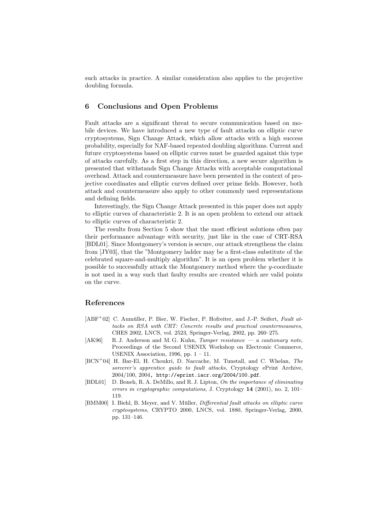such attacks in practice. A similar consideration also applies to the projective doubling formula.

## 6 Conclusions and Open Problems

Fault attacks are a significant threat to secure communication based on mobile devices. We have introduced a new type of fault attacks on elliptic curve cryptosystems, Sign Change Attack, which allow attacks with a high success probability, especially for NAF-based repeated doubling algorithms. Current and future cryptosystems based on elliptic curves must be guarded against this type of attacks carefully. As a first step in this direction, a new secure algorithm is presented that withstands Sign Change Attacks with acceptable computational overhead. Attack and countermeasure have been presented in the context of projective coordinates and elliptic curves defined over prime fields. However, both attack and countermeasure also apply to other commonly used representations and defining fields.

Interestingly, the Sign Change Attack presented in this paper does not apply to elliptic curves of characteristic 2. It is an open problem to extend our attack to elliptic curves of characteristic 2.

The results from Section 5 show that the most efficient solutions often pay their performance advantage with security, just like in the case of CRT-RSA [BDL01]. Since Montgomery's version is secure, our attack strengthens the claim from [JY03], that the "Montgomery ladder may be a first-class substitute of the celebrated square-and-multiply algorithm". It is an open problem whether it is possible to successfully attack the Montgomery method where the  $y$ -coordinate is not used in a way such that faulty results are created which are valid points on the curve.

## References

- $[ABF^+02]$  C. Aumüller, P. Bier, W. Fischer, P. Hofreiter, and J.-P. Seifert, Fault attacks on RSA with CRT: Concrete results and practical countermeasures, CHES 2002, LNCS, vol. 2523, Springer-Verlag, 2002, pp. 260–275.
- [AK96] R. J. Anderson and M. G. Kuhn, Tamper resistance a cautionary note, Proceedings of the Second USENIX Workshop on Electronic Commerce, USENIX Association, 1996, pp.  $1 - 11$ .
- [BCN<sup>+</sup>04] H. Bar-El, H. Choukri, D. Naccache, M. Tunstall, and C. Whelan, The sorcerer's apprentice guide to fault attacks, Cryptology ePrint Archive, 2004/100, 2004, http://eprint.iacr.org/2004/100.pdf.
- [BDL01] D. Boneh, R. A. DeMillo, and R. J. Lipton, On the importance of eliminating errors in cryptographic computations, J. Cryptology 14 (2001), no. 2, 101– 119.
- [BMM00] I. Biehl, B. Meyer, and V. Müller, *Differential fault attacks on elliptic curve* cryptosystems, CRYPTO 2000, LNCS, vol. 1880, Springer-Verlag, 2000, pp. 131–146.